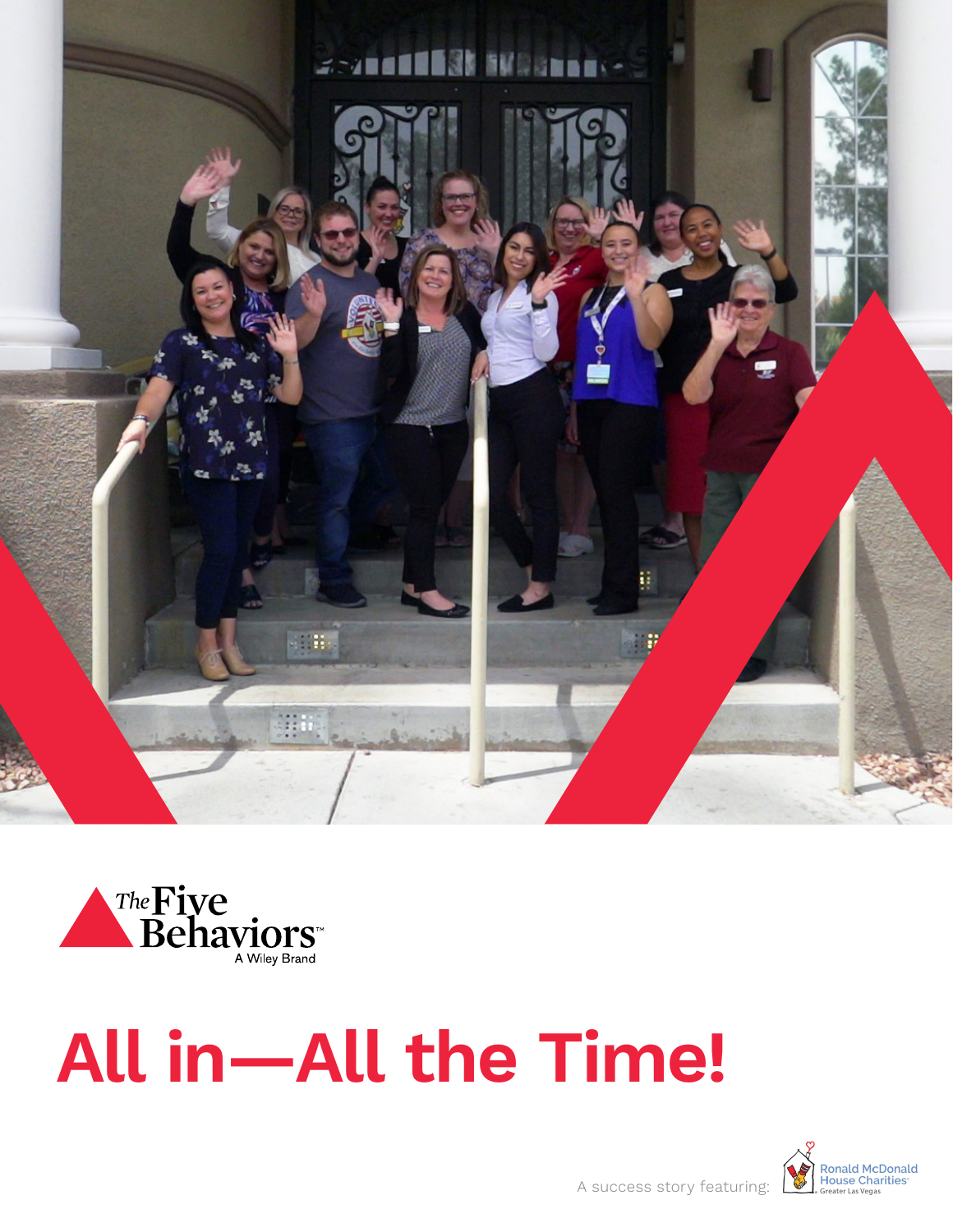



# **All in—All the Time!**

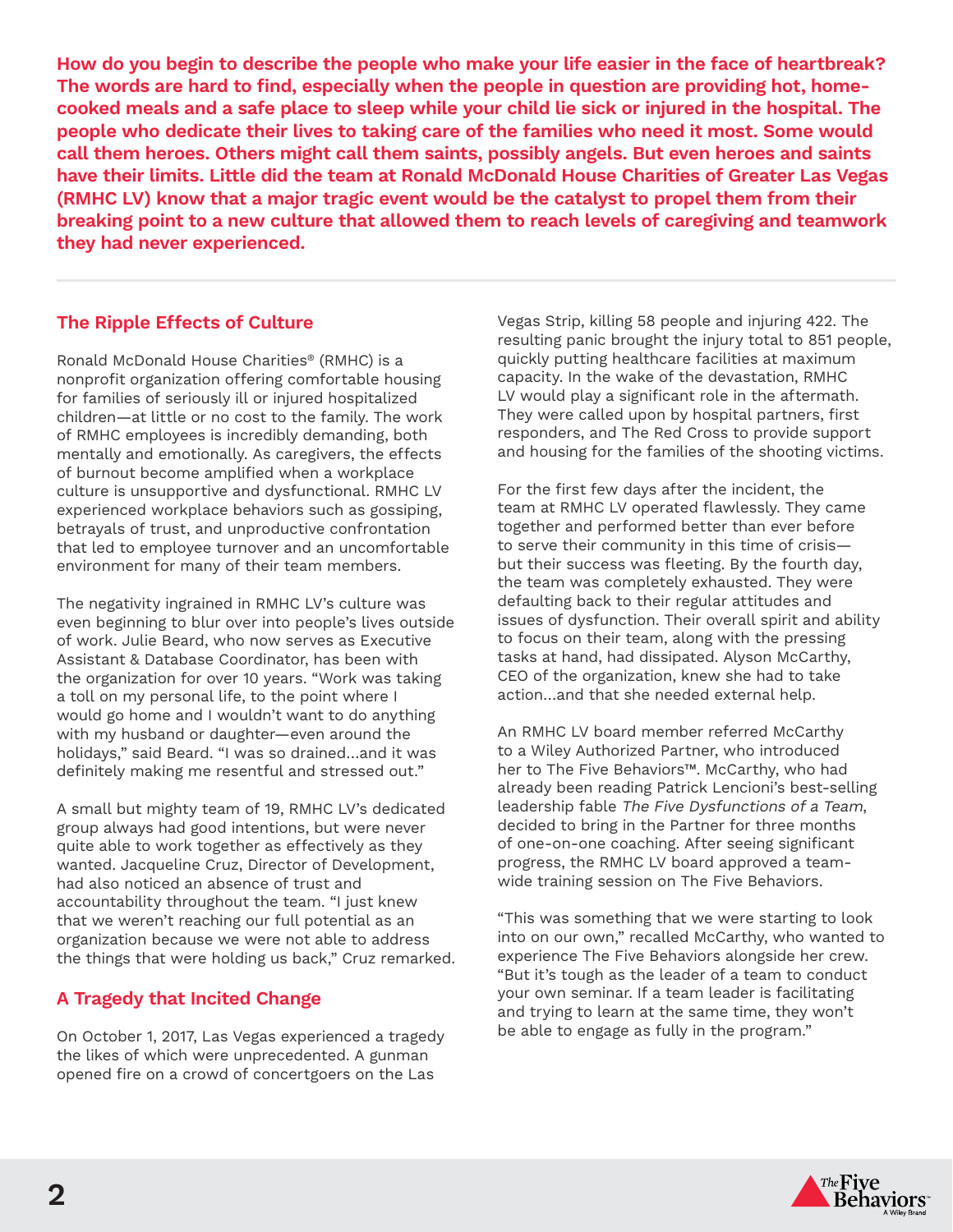**How do you begin to describe the people who make your life easier in the face of heartbreak? The words are hard to find, especially when the people in question are providing hot, homecooked meals and a safe place to sleep while your child lie sick or injured in the hospital. The people who dedicate their lives to taking care of the families who need it most. Some would call them heroes. Others might call them saints, possibly angels. But even heroes and saints have their limits. Little did the team at Ronald McDonald House Charities of Greater Las Vegas (RMHC LV) know that a major tragic event would be the catalyst to propel them from their breaking point to a new culture that allowed them to reach levels of caregiving and teamwork they had never experienced.** 

## **The Ripple Effects of Culture**

Ronald McDonald House Charities® (RMHC) is a nonprofit organization offering comfortable housing for families of seriously ill or injured hospitalized children—at little or no cost to the family. The work of RMHC employees is incredibly demanding, both mentally and emotionally. As caregivers, the effects of burnout become amplified when a workplace culture is unsupportive and dysfunctional. RMHC LV experienced workplace behaviors such as gossiping, betrayals of trust, and unproductive confrontation that led to employee turnover and an uncomfortable environment for many of their team members.

The negativity ingrained in RMHC LV's culture was even beginning to blur over into people's lives outside of work. Julie Beard, who now serves as Executive Assistant & Database Coordinator, has been with the organization for over 10 years. "Work was taking a toll on my personal life, to the point where I would go home and I wouldn't want to do anything with my husband or daughter—even around the holidays," said Beard. "I was so drained…and it was definitely making me resentful and stressed out."

A small but mighty team of 19, RMHC LV's dedicated group always had good intentions, but were never quite able to work together as effectively as they wanted. Jacqueline Cruz, Director of Development, had also noticed an absence of trust and accountability throughout the team. "I just knew that we weren't reaching our full potential as an organization because we were not able to address the things that were holding us back," Cruz remarked.

## **A Tragedy that Incited Change**

On October 1, 2017, Las Vegas experienced a tragedy the likes of which were unprecedented. A gunman opened fire on a crowd of concertgoers on the Las

Vegas Strip, killing 58 people and injuring 422. The resulting panic brought the injury total to 851 people, quickly putting healthcare facilities at maximum capacity. In the wake of the devastation, RMHC LV would play a significant role in the aftermath. They were called upon by hospital partners, first responders, and The Red Cross to provide support and housing for the families of the shooting victims.

For the first few days after the incident, the team at RMHC LV operated flawlessly. They came together and performed better than ever before to serve their community in this time of crisis but their success was fleeting. By the fourth day, the team was completely exhausted. They were defaulting back to their regular attitudes and issues of dysfunction. Their overall spirit and ability to focus on their team, along with the pressing tasks at hand, had dissipated. Alyson McCarthy, CEO of the organization, knew she had to take action…and that she needed external help.

An RMHC LV board member referred McCarthy to a Wiley Authorized Partner, who introduced her to The Five Behaviors™. McCarthy, who had already been reading Patrick Lencioni's best-selling leadership fable The Five Dysfunctions of a Team, decided to bring in the Partner for three months of one-on-one coaching. After seeing significant progress, the RMHC LV board approved a teamwide training session on The Five Behaviors.

"This was something that we were starting to look into on our own," recalled McCarthy, who wanted to experience The Five Behaviors alongside her crew. "But it's tough as the leader of a team to conduct your own seminar. If a team leader is facilitating and trying to learn at the same time, they won't be able to engage as fully in the program."